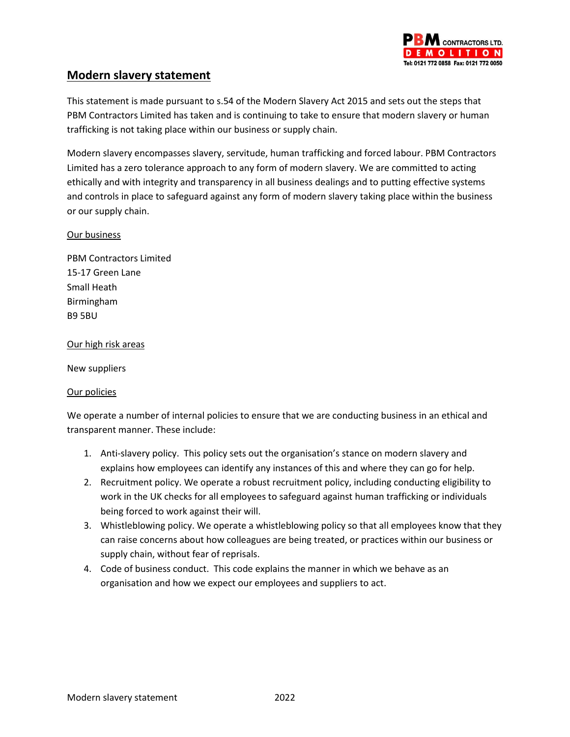

# **Modern slavery statement**

This statement is made pursuant to s.54 of the Modern Slavery Act 2015 and sets out the steps that PBM Contractors Limited has taken and is continuing to take to ensure that modern slavery or human trafficking is not taking place within our business or supply chain.

Modern slavery encompasses slavery, servitude, human trafficking and forced labour. PBM Contractors Limited has a zero tolerance approach to any form of modern slavery. We are committed to acting ethically and with integrity and transparency in all business dealings and to putting effective systems and controls in place to safeguard against any form of modern slavery taking place within the business or our supply chain.

# Our business

PBM Contractors Limited 15-17 Green Lane Small Heath Birmingham B9 5BU

#### Our high risk areas

New suppliers

# Our policies

We operate a number of internal policies to ensure that we are conducting business in an ethical and transparent manner. These include:

- 1. Anti-slavery policy. This policy sets out the organisation's stance on modern slavery and explains how employees can identify any instances of this and where they can go for help.
- 2. Recruitment policy. We operate a robust recruitment policy, including conducting eligibility to work in the UK checks for all employees to safeguard against human trafficking or individuals being forced to work against their will.
- 3. Whistleblowing policy. We operate a whistleblowing policy so that all employees know that they can raise concerns about how colleagues are being treated, or practices within our business or supply chain, without fear of reprisals.
- 4. Code of business conduct. This code explains the manner in which we behave as an organisation and how we expect our employees and suppliers to act.